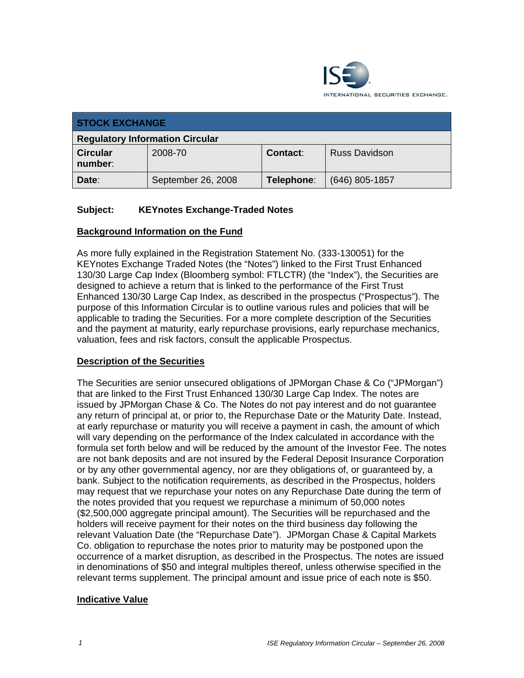

| <b>STOCK EXCHANGE</b>                  |                    |                 |                      |  |
|----------------------------------------|--------------------|-----------------|----------------------|--|
| <b>Regulatory Information Circular</b> |                    |                 |                      |  |
| <b>Circular</b><br>number:             | 2008-70            | <b>Contact:</b> | <b>Russ Davidson</b> |  |
| Date:                                  | September 26, 2008 | Telephone:      | (646) 805-1857       |  |

# **Subject: KEYnotes Exchange-Traded Notes**

### **Background Information on the Fund**

As more fully explained in the Registration Statement No. (333-130051) for the KEYnotes Exchange Traded Notes (the "Notes") linked to the First Trust Enhanced 130/30 Large Cap Index (Bloomberg symbol: FTLCTR) (the "Index"), the Securities are designed to achieve a return that is linked to the performance of the First Trust Enhanced 130/30 Large Cap Index, as described in the prospectus ("Prospectus"). The purpose of this Information Circular is to outline various rules and policies that will be applicable to trading the Securities. For a more complete description of the Securities and the payment at maturity, early repurchase provisions, early repurchase mechanics, valuation, fees and risk factors, consult the applicable Prospectus.

#### **Description of the Securities**

The Securities are senior unsecured obligations of JPMorgan Chase & Co ("JPMorgan") that are linked to the First Trust Enhanced 130/30 Large Cap Index. The notes are issued by JPMorgan Chase & Co. The Notes do not pay interest and do not guarantee any return of principal at, or prior to, the Repurchase Date or the Maturity Date. Instead, at early repurchase or maturity you will receive a payment in cash, the amount of which will vary depending on the performance of the Index calculated in accordance with the formula set forth below and will be reduced by the amount of the Investor Fee. The notes are not bank deposits and are not insured by the Federal Deposit Insurance Corporation or by any other governmental agency, nor are they obligations of, or guaranteed by, a bank. Subject to the notification requirements, as described in the Prospectus, holders may request that we repurchase your notes on any Repurchase Date during the term of the notes provided that you request we repurchase a minimum of 50,000 notes (\$2,500,000 aggregate principal amount). The Securities will be repurchased and the holders will receive payment for their notes on the third business day following the relevant Valuation Date (the "Repurchase Date"). JPMorgan Chase & Capital Markets Co. obligation to repurchase the notes prior to maturity may be postponed upon the occurrence of a market disruption, as described in the Prospectus. The notes are issued in denominations of \$50 and integral multiples thereof, unless otherwise specified in the relevant terms supplement. The principal amount and issue price of each note is \$50.

## **Indicative Value**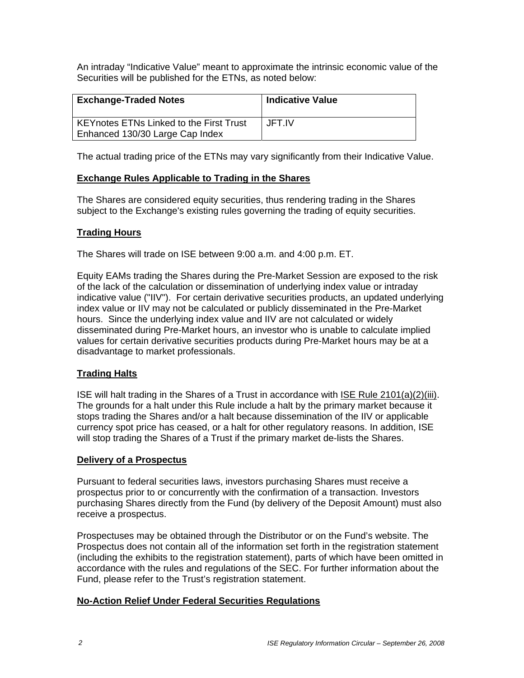An intraday "Indicative Value" meant to approximate the intrinsic economic value of the Securities will be published for the ETNs, as noted below:

| <b>Exchange-Traded Notes</b>                                                      | <b>Indicative Value</b> |
|-----------------------------------------------------------------------------------|-------------------------|
| <b>KEYnotes ETNs Linked to the First Trust</b><br>Enhanced 130/30 Large Cap Index | JFT.IV                  |

The actual trading price of the ETNs may vary significantly from their Indicative Value.

## **Exchange Rules Applicable to Trading in the Shares**

The Shares are considered equity securities, thus rendering trading in the Shares subject to the Exchange's existing rules governing the trading of equity securities.

## **Trading Hours**

The Shares will trade on ISE between 9:00 a.m. and 4:00 p.m. ET.

Equity EAMs trading the Shares during the Pre-Market Session are exposed to the risk of the lack of the calculation or dissemination of underlying index value or intraday indicative value ("IIV"). For certain derivative securities products, an updated underlying index value or IIV may not be calculated or publicly disseminated in the Pre-Market hours. Since the underlying index value and IIV are not calculated or widely disseminated during Pre-Market hours, an investor who is unable to calculate implied values for certain derivative securities products during Pre-Market hours may be at a disadvantage to market professionals.

## **Trading Halts**

ISE will halt trading in the Shares of a Trust in accordance with ISE Rule 2101(a)(2)(iii). The grounds for a halt under this Rule include a halt by the primary market because it stops trading the Shares and/or a halt because dissemination of the IIV or applicable currency spot price has ceased, or a halt for other regulatory reasons. In addition, ISE will stop trading the Shares of a Trust if the primary market de-lists the Shares.

#### **Delivery of a Prospectus**

Pursuant to federal securities laws, investors purchasing Shares must receive a prospectus prior to or concurrently with the confirmation of a transaction. Investors purchasing Shares directly from the Fund (by delivery of the Deposit Amount) must also receive a prospectus.

Prospectuses may be obtained through the Distributor or on the Fund's website. The Prospectus does not contain all of the information set forth in the registration statement (including the exhibits to the registration statement), parts of which have been omitted in accordance with the rules and regulations of the SEC. For further information about the Fund, please refer to the Trust's registration statement.

## **No-Action Relief Under Federal Securities Regulations**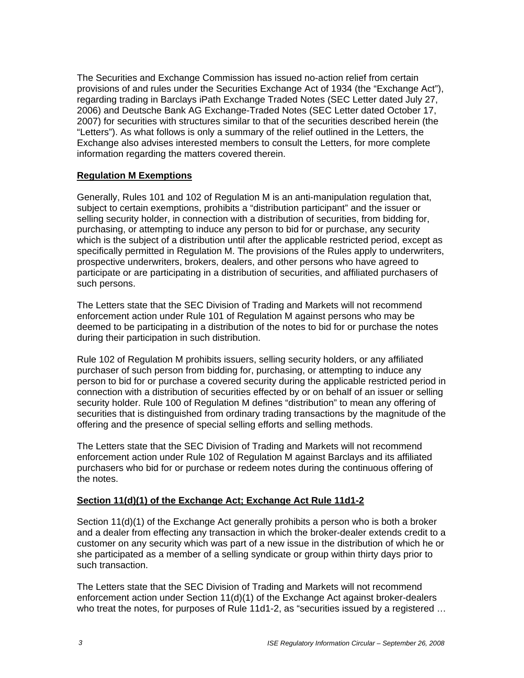The Securities and Exchange Commission has issued no-action relief from certain provisions of and rules under the Securities Exchange Act of 1934 (the "Exchange Act"), regarding trading in Barclays iPath Exchange Traded Notes (SEC Letter dated July 27, 2006) and Deutsche Bank AG Exchange-Traded Notes (SEC Letter dated October 17, 2007) for securities with structures similar to that of the securities described herein (the "Letters"). As what follows is only a summary of the relief outlined in the Letters, the Exchange also advises interested members to consult the Letters, for more complete information regarding the matters covered therein.

## **Regulation M Exemptions**

Generally, Rules 101 and 102 of Regulation M is an anti-manipulation regulation that, subject to certain exemptions, prohibits a "distribution participant" and the issuer or selling security holder, in connection with a distribution of securities, from bidding for, purchasing, or attempting to induce any person to bid for or purchase, any security which is the subject of a distribution until after the applicable restricted period, except as specifically permitted in Regulation M. The provisions of the Rules apply to underwriters, prospective underwriters, brokers, dealers, and other persons who have agreed to participate or are participating in a distribution of securities, and affiliated purchasers of such persons.

The Letters state that the SEC Division of Trading and Markets will not recommend enforcement action under Rule 101 of Regulation M against persons who may be deemed to be participating in a distribution of the notes to bid for or purchase the notes during their participation in such distribution.

Rule 102 of Regulation M prohibits issuers, selling security holders, or any affiliated purchaser of such person from bidding for, purchasing, or attempting to induce any person to bid for or purchase a covered security during the applicable restricted period in connection with a distribution of securities effected by or on behalf of an issuer or selling security holder. Rule 100 of Regulation M defines "distribution" to mean any offering of securities that is distinguished from ordinary trading transactions by the magnitude of the offering and the presence of special selling efforts and selling methods.

The Letters state that the SEC Division of Trading and Markets will not recommend enforcement action under Rule 102 of Regulation M against Barclays and its affiliated purchasers who bid for or purchase or redeem notes during the continuous offering of the notes.

## **Section 11(d)(1) of the Exchange Act; Exchange Act Rule 11d1-2**

Section 11(d)(1) of the Exchange Act generally prohibits a person who is both a broker and a dealer from effecting any transaction in which the broker-dealer extends credit to a customer on any security which was part of a new issue in the distribution of which he or she participated as a member of a selling syndicate or group within thirty days prior to such transaction.

The Letters state that the SEC Division of Trading and Markets will not recommend enforcement action under Section 11(d)(1) of the Exchange Act against broker-dealers who treat the notes, for purposes of Rule 11d1-2, as "securities issued by a registered …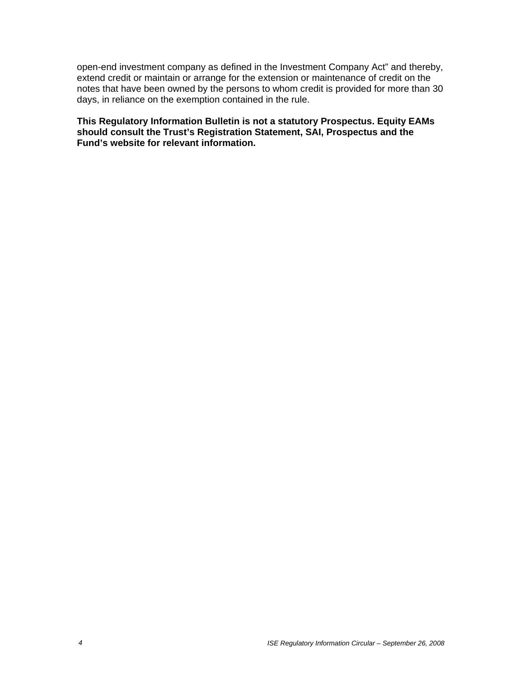open-end investment company as defined in the Investment Company Act" and thereby, extend credit or maintain or arrange for the extension or maintenance of credit on the notes that have been owned by the persons to whom credit is provided for more than 30 days, in reliance on the exemption contained in the rule.

**This Regulatory Information Bulletin is not a statutory Prospectus. Equity EAMs should consult the Trust's Registration Statement, SAI, Prospectus and the Fund's website for relevant information.**